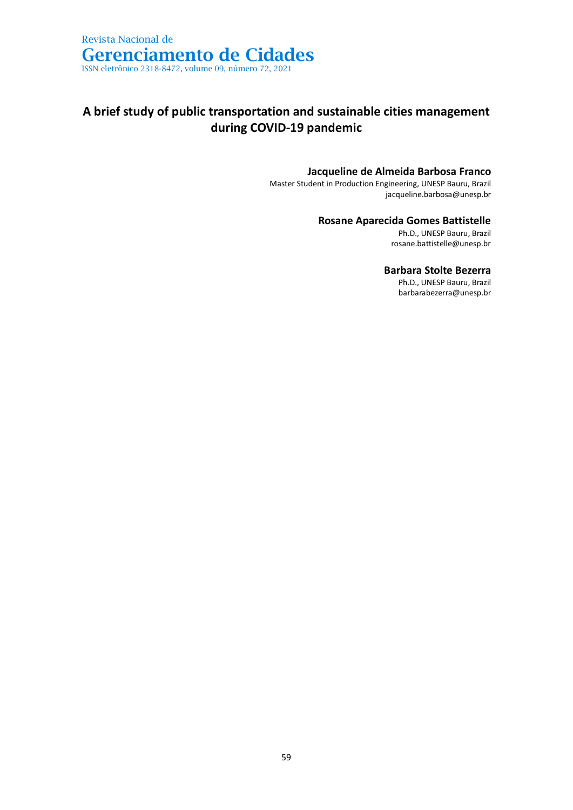## **A brief study of public transportation and sustainable cities management during COVID-19 pandemic**

### **Jacqueline de Almeida Barbosa Franco**

Master Student in Production Engineering, UNESP Bauru, Brazil jacqueline.barbosa@unesp.br

### **Rosane Aparecida Gomes Battistelle**

Ph.D., UNESP Bauru, Brazil rosane.battistelle@unesp.br

### **Barbara Stolte Bezerra**

Ph.D., UNESP Bauru, Brazil barbarabezerra@unesp.br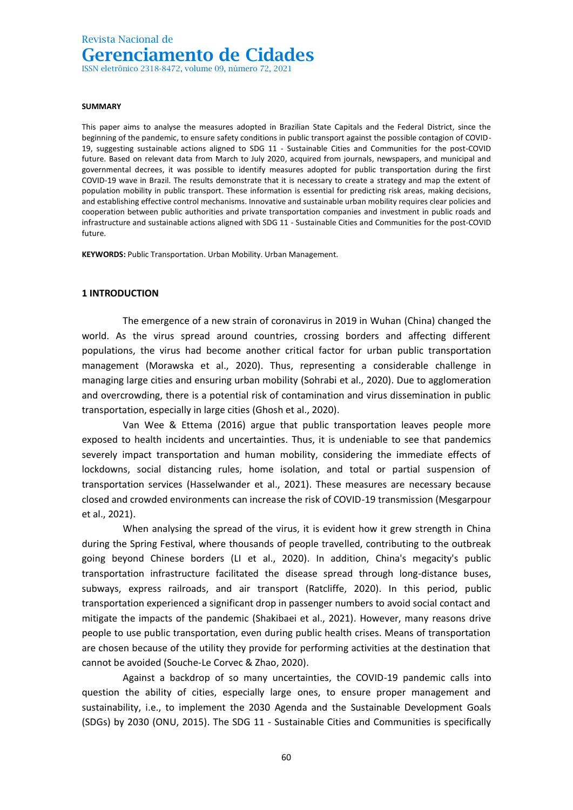ISSN eletrônico 2318-8472, volume 09, número 72, 2021

#### **SUMMARY**

This paper aims to analyse the measures adopted in Brazilian State Capitals and the Federal District, since the beginning of the pandemic, to ensure safety conditions in public transport against the possible contagion of COVID-19, suggesting sustainable actions aligned to SDG 11 - Sustainable Cities and Communities for the post-COVID future. Based on relevant data from March to July 2020, acquired from journals, newspapers, and municipal and governmental decrees, it was possible to identify measures adopted for public transportation during the first COVID-19 wave in Brazil. The results demonstrate that it is necessary to create a strategy and map the extent of population mobility in public transport. These information is essential for predicting risk areas, making decisions, and establishing effective control mechanisms. Innovative and sustainable urban mobility requires clear policies and cooperation between public authorities and private transportation companies and investment in public roads and infrastructure and sustainable actions aligned with SDG 11 - Sustainable Cities and Communities for the post-COVID future.

**KEYWORDS:** Public Transportation. Urban Mobility. Urban Management.

#### **1 INTRODUCTION**

The emergence of a new strain of coronavirus in 2019 in Wuhan (China) changed the world. As the virus spread around countries, crossing borders and affecting different populations, the virus had become another critical factor for urban public transportation management (Morawska et al., 2020). Thus, representing a considerable challenge in managing large cities and ensuring urban mobility (Sohrabi et al., 2020). Due to agglomeration and overcrowding, there is a potential risk of contamination and virus dissemination in public transportation, especially in large cities (Ghosh et al., 2020).

Van Wee & Ettema (2016) argue that public transportation leaves people more exposed to health incidents and uncertainties. Thus, it is undeniable to see that pandemics severely impact transportation and human mobility, considering the immediate effects of lockdowns, social distancing rules, home isolation, and total or partial suspension of transportation services (Hasselwander et al., 2021). These measures are necessary because closed and crowded environments can increase the risk of COVID-19 transmission (Mesgarpour et al., 2021).

When analysing the spread of the virus, it is evident how it grew strength in China during the Spring Festival, where thousands of people travelled, contributing to the outbreak going beyond Chinese borders (LI et al., 2020). In addition, China's megacity's public transportation infrastructure facilitated the disease spread through long-distance buses, subways, express railroads, and air transport (Ratcliffe, 2020). In this period, public transportation experienced a significant drop in passenger numbers to avoid social contact and mitigate the impacts of the pandemic (Shakibaei et al., 2021). However, many reasons drive people to use public transportation, even during public health crises. Means of transportation are chosen because of the utility they provide for performing activities at the destination that cannot be avoided (Souche-Le Corvec & Zhao, 2020).

Against a backdrop of so many uncertainties, the COVID-19 pandemic calls into question the ability of cities, especially large ones, to ensure proper management and sustainability, i.e., to implement the 2030 Agenda and the Sustainable Development Goals (SDGs) by 2030 (ONU, 2015). The SDG 11 - Sustainable Cities and Communities is specifically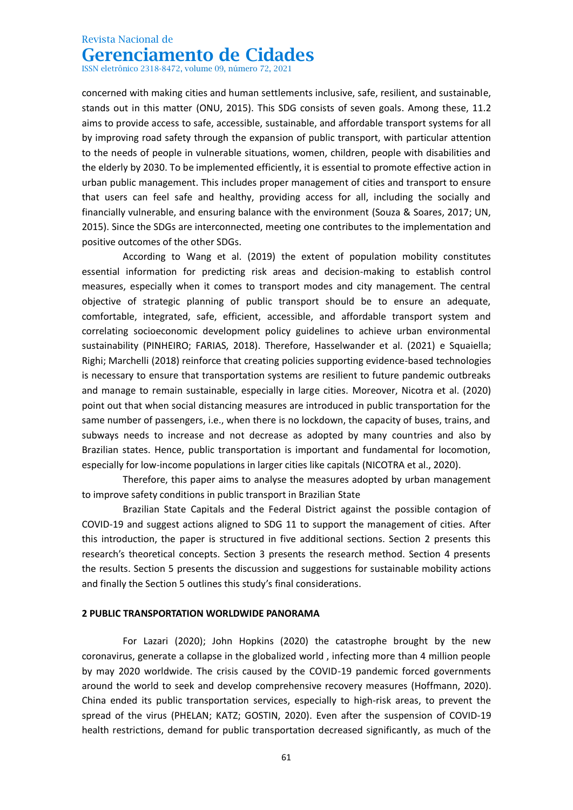ISSN eletrônico 2318-8472, volume 09, número 72, 2021

concerned with making cities and human settlements inclusive, safe, resilient, and sustainable, stands out in this matter (ONU, 2015). This SDG consists of seven goals. Among these, 11.2 aims to provide access to safe, accessible, sustainable, and affordable transport systems for all by improving road safety through the expansion of public transport, with particular attention to the needs of people in vulnerable situations, women, children, people with disabilities and the elderly by 2030. To be implemented efficiently, it is essential to promote effective action in urban public management. This includes proper management of cities and transport to ensure that users can feel safe and healthy, providing access for all, including the socially and financially vulnerable, and ensuring balance with the environment (Souza & Soares, 2017; UN, 2015). Since the SDGs are interconnected, meeting one contributes to the implementation and positive outcomes of the other SDGs.

According to Wang et al. (2019) the extent of population mobility constitutes essential information for predicting risk areas and decision-making to establish control measures, especially when it comes to transport modes and city management. The central objective of strategic planning of public transport should be to ensure an adequate, comfortable, integrated, safe, efficient, accessible, and affordable transport system and correlating socioeconomic development policy guidelines to achieve urban environmental sustainability (PINHEIRO; FARIAS, 2018). Therefore, Hasselwander et al. (2021) e Squaiella; Righi; Marchelli (2018) reinforce that creating policies supporting evidence-based technologies is necessary to ensure that transportation systems are resilient to future pandemic outbreaks and manage to remain sustainable, especially in large cities. Moreover, Nicotra et al. (2020) point out that when social distancing measures are introduced in public transportation for the same number of passengers, i.e., when there is no lockdown, the capacity of buses, trains, and subways needs to increase and not decrease as adopted by many countries and also by Brazilian states. Hence, public transportation is important and fundamental for locomotion, especially for low-income populations in larger cities like capitals (NICOTRA et al., 2020).

Therefore, this paper aims to analyse the measures adopted by urban management to improve safety conditions in public transport in Brazilian State

Brazilian State Capitals and the Federal District against the possible contagion of COVID-19 and suggest actions aligned to SDG 11 to support the management of cities. After this introduction, the paper is structured in five additional sections. Section 2 presents this research's theoretical concepts. Section 3 presents the research method. Section 4 presents the results. Section 5 presents the discussion and suggestions for sustainable mobility actions and finally the Section 5 outlines this study's final considerations.

### **2 PUBLIC TRANSPORTATION WORLDWIDE PANORAMA**

For Lazari (2020); John Hopkins (2020) the catastrophe brought by the new coronavirus, generate a collapse in the globalized world , infecting more than 4 million people by may 2020 worldwide. The crisis caused by the COVID-19 pandemic forced governments around the world to seek and develop comprehensive recovery measures (Hoffmann, 2020). China ended its public transportation services, especially to high-risk areas, to prevent the spread of the virus (PHELAN; KATZ; GOSTIN, 2020). Even after the suspension of COVID-19 health restrictions, demand for public transportation decreased significantly, as much of the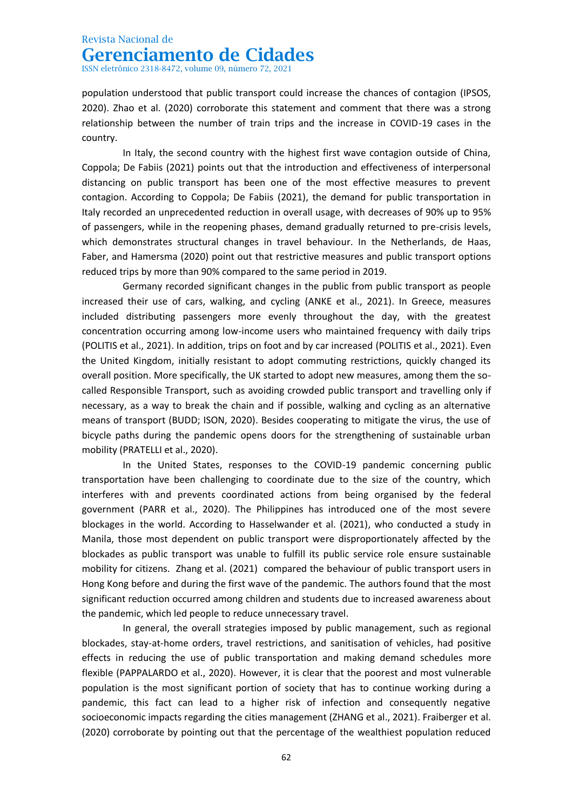ISSN eletrônico 2318-8472, volume 09, número 72, 2021

population understood that public transport could increase the chances of contagion (IPSOS, 2020). Zhao et al. (2020) corroborate this statement and comment that there was a strong relationship between the number of train trips and the increase in COVID-19 cases in the country.

In Italy, the second country with the highest first wave contagion outside of China, Coppola; De Fabiis (2021) points out that the introduction and effectiveness of interpersonal distancing on public transport has been one of the most effective measures to prevent contagion. According to Coppola; De Fabiis (2021), the demand for public transportation in Italy recorded an unprecedented reduction in overall usage, with decreases of 90% up to 95% of passengers, while in the reopening phases, demand gradually returned to pre-crisis levels, which demonstrates structural changes in travel behaviour. In the Netherlands, de Haas, Faber, and Hamersma (2020) point out that restrictive measures and public transport options reduced trips by more than 90% compared to the same period in 2019.

Germany recorded significant changes in the public from public transport as people increased their use of cars, walking, and cycling (ANKE et al., 2021). In Greece, measures included distributing passengers more evenly throughout the day, with the greatest concentration occurring among low-income users who maintained frequency with daily trips (POLITIS et al., 2021). In addition, trips on foot and by car increased (POLITIS et al., 2021). Even the United Kingdom, initially resistant to adopt commuting restrictions, quickly changed its overall position. More specifically, the UK started to adopt new measures, among them the socalled Responsible Transport, such as avoiding crowded public transport and travelling only if necessary, as a way to break the chain and if possible, walking and cycling as an alternative means of transport (BUDD; ISON, 2020). Besides cooperating to mitigate the virus, the use of bicycle paths during the pandemic opens doors for the strengthening of sustainable urban mobility (PRATELLI et al., 2020).

In the United States, responses to the COVID-19 pandemic concerning public transportation have been challenging to coordinate due to the size of the country, which interferes with and prevents coordinated actions from being organised by the federal government (PARR et al., 2020). The Philippines has introduced one of the most severe blockages in the world. According to Hasselwander et al. (2021), who conducted a study in Manila, those most dependent on public transport were disproportionately affected by the blockades as public transport was unable to fulfill its public service role ensure sustainable mobility for citizens. Zhang et al. (2021) compared the behaviour of public transport users in Hong Kong before and during the first wave of the pandemic. The authors found that the most significant reduction occurred among children and students due to increased awareness about the pandemic, which led people to reduce unnecessary travel.

In general, the overall strategies imposed by public management, such as regional blockades, stay-at-home orders, travel restrictions, and sanitisation of vehicles, had positive effects in reducing the use of public transportation and making demand schedules more flexible (PAPPALARDO et al., 2020). However, it is clear that the poorest and most vulnerable population is the most significant portion of society that has to continue working during a pandemic, this fact can lead to a higher risk of infection and consequently negative socioeconomic impacts regarding the cities management (ZHANG et al., 2021). Fraiberger et al. (2020) corroborate by pointing out that the percentage of the wealthiest population reduced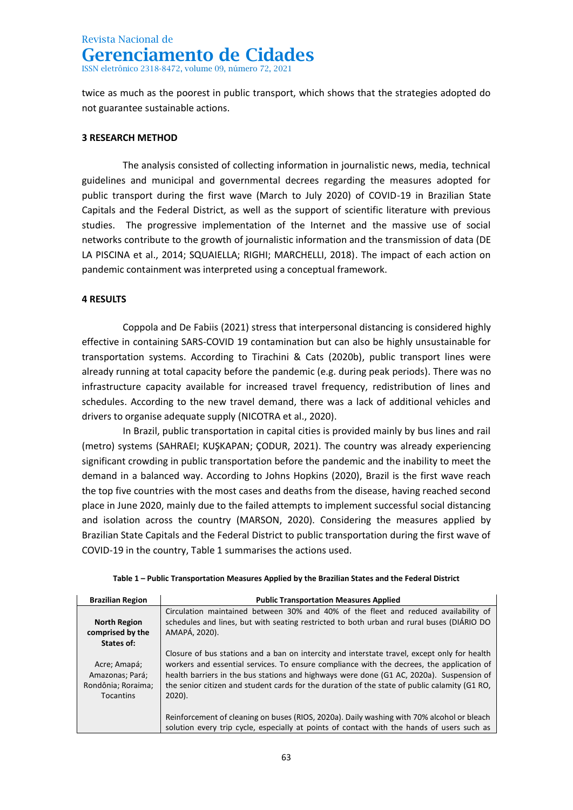ISSN eletrônico 2318-8472, volume 09, número 72, 2021

twice as much as the poorest in public transport, which shows that the strategies adopted do not guarantee sustainable actions.

### **3 RESEARCH METHOD**

The analysis consisted of collecting information in journalistic news, media, technical guidelines and municipal and governmental decrees regarding the measures adopted for public transport during the first wave (March to July 2020) of COVID-19 in Brazilian State Capitals and the Federal District, as well as the support of scientific literature with previous studies. The progressive implementation of the Internet and the massive use of social networks contribute to the growth of journalistic information and the transmission of data (DE LA PISCINA et al., 2014; SQUAIELLA; RIGHI; MARCHELLI, 2018). The impact of each action on pandemic containment was interpreted using a conceptual framework.

### **4 RESULTS**

Coppola and De Fabiis (2021) stress that interpersonal distancing is considered highly effective in containing SARS-COVID 19 contamination but can also be highly unsustainable for transportation systems. According to Tirachini & Cats (2020b), public transport lines were already running at total capacity before the pandemic (e.g. during peak periods). There was no infrastructure capacity available for increased travel frequency, redistribution of lines and schedules. According to the new travel demand, there was a lack of additional vehicles and drivers to organise adequate supply (NICOTRA et al., 2020).

In Brazil, public transportation in capital cities is provided mainly by bus lines and rail (metro) systems (SAHRAEI; KUŞKAPAN; ÇODUR, 2021). The country was already experiencing significant crowding in public transportation before the pandemic and the inability to meet the demand in a balanced way. According to Johns Hopkins (2020), Brazil is the first wave reach the top five countries with the most cases and deaths from the disease, having reached second place in June 2020, mainly due to the failed attempts to implement successful social distancing and isolation across the country (MARSON, 2020). Considering the measures applied by Brazilian State Capitals and the Federal District to public transportation during the first wave of COVID-19 in the country, Table 1 summarises the actions used.

| <b>Brazilian Region</b>                                                   | <b>Public Transportation Measures Applied</b>                                                                                                                                                                                                                                                                                                                                                       |  |
|---------------------------------------------------------------------------|-----------------------------------------------------------------------------------------------------------------------------------------------------------------------------------------------------------------------------------------------------------------------------------------------------------------------------------------------------------------------------------------------------|--|
|                                                                           | Circulation maintained between 30% and 40% of the fleet and reduced availability of                                                                                                                                                                                                                                                                                                                 |  |
| <b>North Region</b>                                                       | schedules and lines, but with seating restricted to both urban and rural buses (DIÁRIO DO                                                                                                                                                                                                                                                                                                           |  |
| comprised by the                                                          | AMAPÁ, 2020).                                                                                                                                                                                                                                                                                                                                                                                       |  |
| States of:                                                                |                                                                                                                                                                                                                                                                                                                                                                                                     |  |
| Acre; Amapá;<br>Amazonas; Pará;<br>Rondônia; Roraima;<br><b>Tocantins</b> | Closure of bus stations and a ban on intercity and interstate travel, except only for health<br>workers and essential services. To ensure compliance with the decrees, the application of<br>health barriers in the bus stations and highways were done (G1 AC, 2020a). Suspension of<br>the senior citizen and student cards for the duration of the state of public calamity (G1 RO,<br>$2020$ ). |  |
|                                                                           | Reinforcement of cleaning on buses (RIOS, 2020a). Daily washing with 70% alcohol or bleach<br>solution every trip cycle, especially at points of contact with the hands of users such as                                                                                                                                                                                                            |  |

|  |  | Table 1 – Public Transportation Measures Applied by the Brazilian States and the Federal District |  |  |  |
|--|--|---------------------------------------------------------------------------------------------------|--|--|--|
|--|--|---------------------------------------------------------------------------------------------------|--|--|--|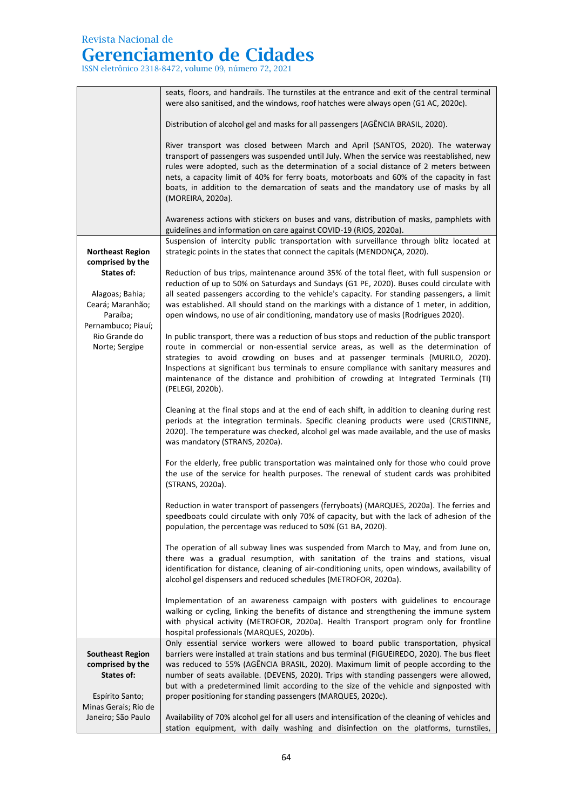# **Gerenciamento de Cidades**

ISSN eletrônico 2318-8472, volume 09, número 72, 2021

|                                                                                     | seats, floors, and handrails. The turnstiles at the entrance and exit of the central terminal<br>were also sanitised, and the windows, roof hatches were always open (G1 AC, 2020c).                                                                                                                                                                                                                                                                                                                                              |
|-------------------------------------------------------------------------------------|-----------------------------------------------------------------------------------------------------------------------------------------------------------------------------------------------------------------------------------------------------------------------------------------------------------------------------------------------------------------------------------------------------------------------------------------------------------------------------------------------------------------------------------|
|                                                                                     | Distribution of alcohol gel and masks for all passengers (AGÊNCIA BRASIL, 2020).                                                                                                                                                                                                                                                                                                                                                                                                                                                  |
|                                                                                     | River transport was closed between March and April (SANTOS, 2020). The waterway<br>transport of passengers was suspended until July. When the service was reestablished, new<br>rules were adopted, such as the determination of a social distance of 2 meters between<br>nets, a capacity limit of 40% for ferry boats, motorboats and 60% of the capacity in fast<br>boats, in addition to the demarcation of seats and the mandatory use of masks by all<br>(MOREIRA, 2020a).                                                  |
|                                                                                     | Awareness actions with stickers on buses and vans, distribution of masks, pamphlets with                                                                                                                                                                                                                                                                                                                                                                                                                                          |
| <b>Northeast Region</b><br>comprised by the                                         | guidelines and information on care against COVID-19 (RIOS, 2020a).<br>Suspension of intercity public transportation with surveillance through blitz located at<br>strategic points in the states that connect the capitals (MENDONÇA, 2020).                                                                                                                                                                                                                                                                                      |
| States of:<br>Alagoas; Bahia;<br>Ceará; Maranhão;                                   | Reduction of bus trips, maintenance around 35% of the total fleet, with full suspension or<br>reduction of up to 50% on Saturdays and Sundays (G1 PE, 2020). Buses could circulate with<br>all seated passengers according to the vehicle's capacity. For standing passengers, a limit<br>was established. All should stand on the markings with a distance of 1 meter, in addition,                                                                                                                                              |
| Paraíba;                                                                            | open windows, no use of air conditioning, mandatory use of masks (Rodrigues 2020).                                                                                                                                                                                                                                                                                                                                                                                                                                                |
| Pernambuco; Piauí;<br>Rio Grande do<br>Norte; Sergipe                               | In public transport, there was a reduction of bus stops and reduction of the public transport<br>route in commercial or non-essential service areas, as well as the determination of<br>strategies to avoid crowding on buses and at passenger terminals (MURILO, 2020).<br>Inspections at significant bus terminals to ensure compliance with sanitary measures and<br>maintenance of the distance and prohibition of crowding at Integrated Terminals (TI)<br>(PELEGI, 2020b).                                                  |
|                                                                                     | Cleaning at the final stops and at the end of each shift, in addition to cleaning during rest<br>periods at the integration terminals. Specific cleaning products were used (CRISTINNE,<br>2020). The temperature was checked, alcohol gel was made available, and the use of masks<br>was mandatory (STRANS, 2020a).                                                                                                                                                                                                             |
|                                                                                     | For the elderly, free public transportation was maintained only for those who could prove<br>the use of the service for health purposes. The renewal of student cards was prohibited<br>(STRANS, 2020a).                                                                                                                                                                                                                                                                                                                          |
|                                                                                     | Reduction in water transport of passengers (ferryboats) (MARQUES, 2020a). The ferries and<br>speedboats could circulate with only 70% of capacity, but with the lack of adhesion of the<br>population, the percentage was reduced to 50% (G1 BA, 2020).                                                                                                                                                                                                                                                                           |
|                                                                                     | The operation of all subway lines was suspended from March to May, and from June on,<br>there was a gradual resumption, with sanitation of the trains and stations, visual<br>identification for distance, cleaning of air-conditioning units, open windows, availability of<br>alcohol gel dispensers and reduced schedules (METROFOR, 2020a).                                                                                                                                                                                   |
|                                                                                     | Implementation of an awareness campaign with posters with guidelines to encourage<br>walking or cycling, linking the benefits of distance and strengthening the immune system<br>with physical activity (METROFOR, 2020a). Health Transport program only for frontline<br>hospital professionals (MARQUES, 2020b).                                                                                                                                                                                                                |
| <b>Southeast Region</b><br>comprised by the<br><b>States of:</b><br>Espírito Santo; | Only essential service workers were allowed to board public transportation, physical<br>barriers were installed at train stations and bus terminal (FIGUEIREDO, 2020). The bus fleet<br>was reduced to 55% (AGÊNCIA BRASIL, 2020). Maximum limit of people according to the<br>number of seats available. (DEVENS, 2020). Trips with standing passengers were allowed,<br>but with a predetermined limit according to the size of the vehicle and signposted with<br>proper positioning for standing passengers (MARQUES, 2020c). |
| Minas Gerais; Rio de<br>Janeiro; São Paulo                                          | Availability of 70% alcohol gel for all users and intensification of the cleaning of vehicles and<br>station equipment, with daily washing and disinfection on the platforms, turnstiles,                                                                                                                                                                                                                                                                                                                                         |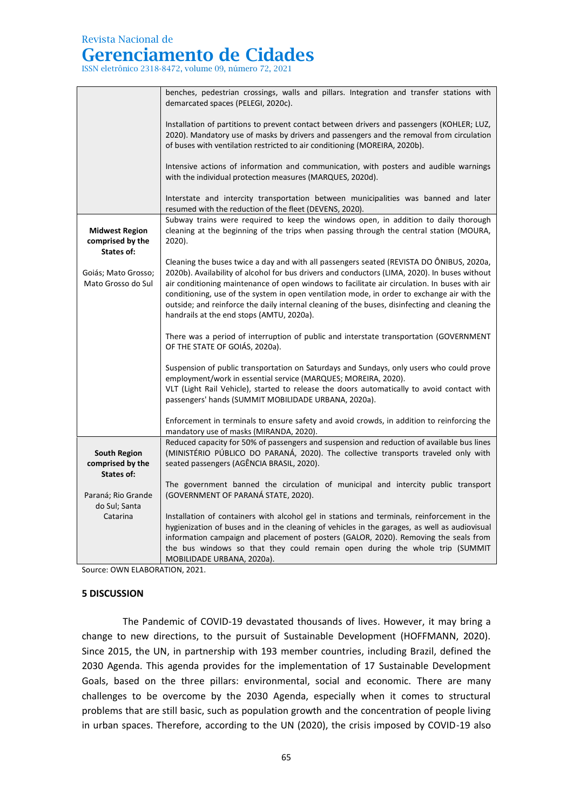# **Gerenciamento de Cidades**

ISSN eletrônico 2318-8472, volume 09, número 72, 2021

|                                         | benches, pedestrian crossings, walls and pillars. Integration and transfer stations with<br>demarcated spaces (PELEGI, 2020c).                                                            |  |  |
|-----------------------------------------|-------------------------------------------------------------------------------------------------------------------------------------------------------------------------------------------|--|--|
|                                         |                                                                                                                                                                                           |  |  |
|                                         | Installation of partitions to prevent contact between drivers and passengers (KOHLER; LUZ,                                                                                                |  |  |
|                                         | 2020). Mandatory use of masks by drivers and passengers and the removal from circulation<br>of buses with ventilation restricted to air conditioning (MOREIRA, 2020b).                    |  |  |
|                                         | Intensive actions of information and communication, with posters and audible warnings                                                                                                     |  |  |
|                                         | with the individual protection measures (MARQUES, 2020d).                                                                                                                                 |  |  |
|                                         | Interstate and intercity transportation between municipalities was banned and later                                                                                                       |  |  |
|                                         | resumed with the reduction of the fleet (DEVENS, 2020).                                                                                                                                   |  |  |
| <b>Midwest Region</b>                   | Subway trains were required to keep the windows open, in addition to daily thorough<br>cleaning at the beginning of the trips when passing through the central station (MOURA,            |  |  |
| comprised by the                        | 2020).                                                                                                                                                                                    |  |  |
| States of:                              |                                                                                                                                                                                           |  |  |
| Goiás; Mato Grosso;                     | Cleaning the buses twice a day and with all passengers seated (REVISTA DO ÔNIBUS, 2020a,<br>2020b). Availability of alcohol for bus drivers and conductors (LIMA, 2020). In buses without |  |  |
| Mato Grosso do Sul                      | air conditioning maintenance of open windows to facilitate air circulation. In buses with air                                                                                             |  |  |
|                                         | conditioning, use of the system in open ventilation mode, in order to exchange air with the                                                                                               |  |  |
|                                         | outside; and reinforce the daily internal cleaning of the buses, disinfecting and cleaning the<br>handrails at the end stops (AMTU, 2020a).                                               |  |  |
|                                         |                                                                                                                                                                                           |  |  |
|                                         | There was a period of interruption of public and interstate transportation (GOVERNMENT<br>OF THE STATE OF GOIÁS, 2020a).                                                                  |  |  |
|                                         | Suspension of public transportation on Saturdays and Sundays, only users who could prove                                                                                                  |  |  |
|                                         | employment/work in essential service (MARQUES; MOREIRA, 2020).                                                                                                                            |  |  |
|                                         | VLT (Light Rail Vehicle), started to release the doors automatically to avoid contact with<br>passengers' hands (SUMMIT MOBILIDADE URBANA, 2020a).                                        |  |  |
|                                         |                                                                                                                                                                                           |  |  |
|                                         | Enforcement in terminals to ensure safety and avoid crowds, in addition to reinforcing the<br>mandatory use of masks (MIRANDA, 2020).                                                     |  |  |
|                                         | Reduced capacity for 50% of passengers and suspension and reduction of available bus lines                                                                                                |  |  |
| <b>South Region</b><br>comprised by the | (MINISTÉRIO PÚBLICO DO PARANÁ, 2020). The collective transports traveled only with<br>seated passengers (AGÊNCIA BRASIL, 2020).                                                           |  |  |
| States of:                              |                                                                                                                                                                                           |  |  |
|                                         | The government banned the circulation of municipal and intercity public transport                                                                                                         |  |  |
| Paraná; Rio Grande<br>do Sul; Santa     | (GOVERNMENT OF PARANÁ STATE, 2020).                                                                                                                                                       |  |  |
| Catarina                                | Installation of containers with alcohol gel in stations and terminals, reinforcement in the                                                                                               |  |  |
|                                         | hygienization of buses and in the cleaning of vehicles in the garages, as well as audiovisual                                                                                             |  |  |
|                                         | information campaign and placement of posters (GALOR, 2020). Removing the seals from<br>the bus windows so that they could remain open during the whole trip (SUMMIT                      |  |  |
|                                         | MOBILIDADE URBANA, 2020a).                                                                                                                                                                |  |  |

Source: OWN ELABORATION, 2021.

#### **5 DISCUSSION**

The Pandemic of COVID-19 devastated thousands of lives. However, it may bring a change to new directions, to the pursuit of Sustainable Development (HOFFMANN, 2020). Since 2015, the UN, in partnership with 193 member countries, including Brazil, defined the 2030 Agenda. This agenda provides for the implementation of 17 Sustainable Development Goals, based on the three pillars: environmental, social and economic. There are many challenges to be overcome by the 2030 Agenda, especially when it comes to structural problems that are still basic, such as population growth and the concentration of people living in urban spaces. Therefore, according to the UN (2020), the crisis imposed by COVID-19 also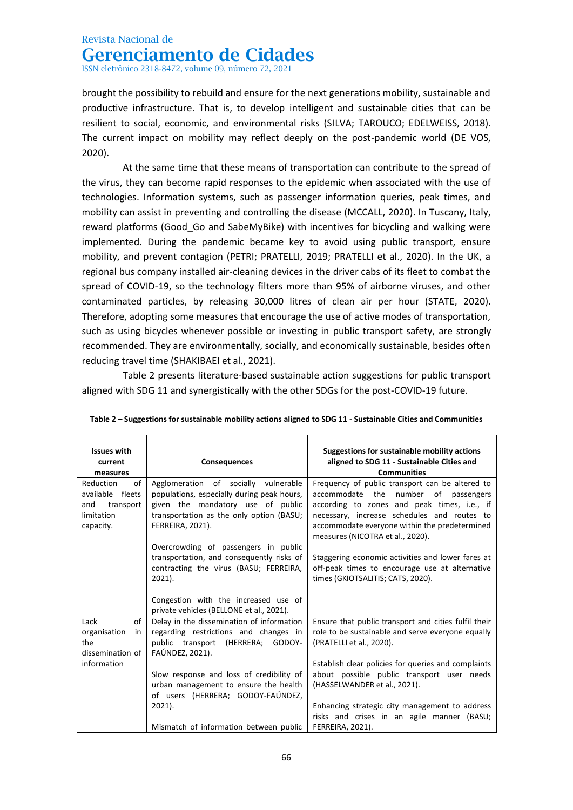ISSN eletrônico 2318-8472, volume 09, número 72, 2021

brought the possibility to rebuild and ensure for the next generations mobility, sustainable and productive infrastructure. That is, to develop intelligent and sustainable cities that can be resilient to social, economic, and environmental risks (SILVA; TAROUCO; EDELWEISS, 2018). The current impact on mobility may reflect deeply on the post-pandemic world (DE VOS, 2020).

At the same time that these means of transportation can contribute to the spread of the virus, they can become rapid responses to the epidemic when associated with the use of technologies. Information systems, such as passenger information queries, peak times, and mobility can assist in preventing and controlling the disease (MCCALL, 2020). In Tuscany, Italy, reward platforms (Good Go and SabeMyBike) with incentives for bicycling and walking were implemented. During the pandemic became key to avoid using public transport, ensure mobility, and prevent contagion (PETRI; PRATELLI, 2019; PRATELLI et al., 2020). In the UK, a regional bus company installed air-cleaning devices in the driver cabs of its fleet to combat the spread of COVID-19, so the technology filters more than 95% of airborne viruses, and other contaminated particles, by releasing 30,000 litres of clean air per hour (STATE, 2020). Therefore, adopting some measures that encourage the use of active modes of transportation, such as using bicycles whenever possible or investing in public transport safety, are strongly recommended. They are environmentally, socially, and economically sustainable, besides often reducing travel time (SHAKIBAEI et al., 2021).

Table 2 presents literature-based sustainable action suggestions for public transport aligned with SDG 11 and synergistically with the other SDGs for the post-COVID-19 future.

| <b>Issues with</b><br>current<br>measures                                                                                                                                                                                                                                            | <b>Consequences</b>                                                                                                                                                                    | Suggestions for sustainable mobility actions<br>aligned to SDG 11 - Sustainable Cities and<br><b>Communities</b>                                                                                                                                                           |
|--------------------------------------------------------------------------------------------------------------------------------------------------------------------------------------------------------------------------------------------------------------------------------------|----------------------------------------------------------------------------------------------------------------------------------------------------------------------------------------|----------------------------------------------------------------------------------------------------------------------------------------------------------------------------------------------------------------------------------------------------------------------------|
| of<br>Agglomeration of socially vulnerable<br>Reduction<br>available fleets<br>populations, especially during peak hours,<br>given the mandatory use of public<br>and<br>transport<br>transportation as the only option (BASU;<br>limitation<br><b>FERREIRA, 2021).</b><br>capacity. |                                                                                                                                                                                        | Frequency of public transport can be altered to<br>accommodate the number of passengers<br>according to zones and peak times, i.e., if<br>necessary, increase schedules and routes to<br>accommodate everyone within the predetermined<br>measures (NICOTRA et al., 2020). |
|                                                                                                                                                                                                                                                                                      | Overcrowding of passengers in public<br>transportation, and consequently risks of<br>contracting the virus (BASU; FERREIRA,<br>2021).<br>Congestion with the increased use of          | Staggering economic activities and lower fares at<br>off-peak times to encourage use at alternative<br>times (GKIOTSALITIS; CATS, 2020).                                                                                                                                   |
| of<br>Lack<br>organisation<br>in<br>the<br>dissemination of                                                                                                                                                                                                                          | private vehicles (BELLONE et al., 2021).<br>Delay in the dissemination of information<br>regarding restrictions and changes in<br>public transport (HERRERA; GODOY-<br>FAÚNDEZ, 2021). | Ensure that public transport and cities fulfil their<br>role to be sustainable and serve everyone equally<br>(PRATELLI et al., 2020).                                                                                                                                      |
| information                                                                                                                                                                                                                                                                          | Slow response and loss of credibility of<br>urban management to ensure the health<br>of users (HERRERA; GODOY-FAÚNDEZ,<br>2021).<br>Mismatch of information between public             | Establish clear policies for queries and complaints<br>about possible public transport user needs<br>(HASSELWANDER et al., 2021).<br>Enhancing strategic city management to address<br>risks and crises in an agile manner (BASU;<br>FERREIRA, 2021).                      |

| Table $2$ – Suggestions for sustainable mobility actions aligned to SDG 11 - Sustainable Cities and Communities |  |
|-----------------------------------------------------------------------------------------------------------------|--|
|-----------------------------------------------------------------------------------------------------------------|--|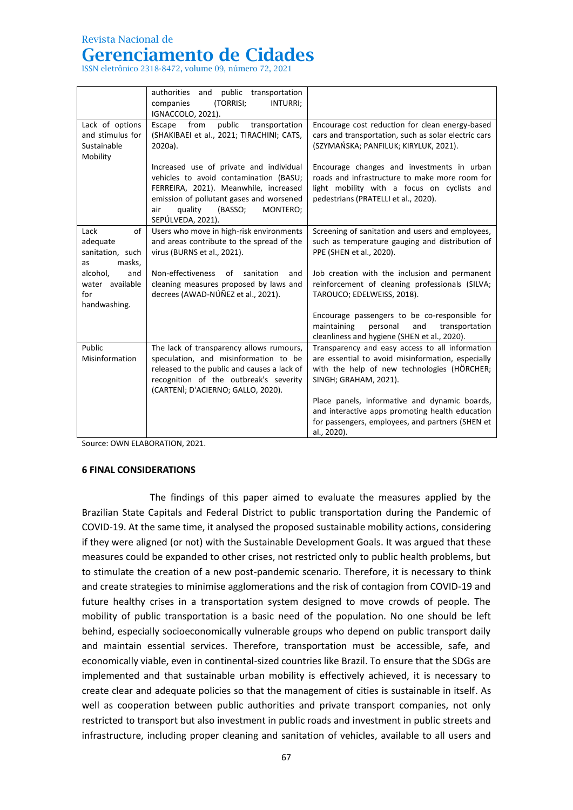### Revista Nacional de

# **Gerenciamento de Cidades**

ISSN eletrônico 2318-8472, volume 09, número 72, 2021

|                                                                | public transportation<br>authorities<br>and<br>companies<br>(TORRISI;<br>INTURRI;<br>IGNACCOLO, 2021).                                                                                                                               |                                                                                                                                                                                                                                                                                                                                                     |
|----------------------------------------------------------------|--------------------------------------------------------------------------------------------------------------------------------------------------------------------------------------------------------------------------------------|-----------------------------------------------------------------------------------------------------------------------------------------------------------------------------------------------------------------------------------------------------------------------------------------------------------------------------------------------------|
| Lack of options<br>and stimulus for<br>Sustainable<br>Mobility | from<br>public<br>Escape<br>transportation<br>(SHAKIBAEI et al., 2021; TIRACHINI; CATS,<br>2020a).                                                                                                                                   | Encourage cost reduction for clean energy-based<br>cars and transportation, such as solar electric cars<br>(SZYMAŃSKA; PANFILUK; KIRYLUK, 2021).                                                                                                                                                                                                    |
|                                                                | Increased use of private and individual<br>vehicles to avoid contamination (BASU;<br>FERREIRA, 2021). Meanwhile, increased<br>emission of pollutant gases and worsened<br>quality<br>(BASSO;<br>MONTERO;<br>air<br>SEPÚLVEDA, 2021). | Encourage changes and investments in urban<br>roads and infrastructure to make more room for<br>light mobility with a focus on cyclists and<br>pedestrians (PRATELLI et al., 2020).                                                                                                                                                                 |
| of<br>Lack<br>adequate<br>sanitation, such<br>masks,<br>as     | Users who move in high-risk environments<br>and areas contribute to the spread of the<br>virus (BURNS et al., 2021).                                                                                                                 | Screening of sanitation and users and employees,<br>such as temperature gauging and distribution of<br>PPE (SHEN et al., 2020).                                                                                                                                                                                                                     |
| alcohol,<br>and<br>water available<br>for<br>handwashing.      | Non-effectiveness<br>of<br>sanitation<br>and<br>cleaning measures proposed by laws and<br>decrees (AWAD-NÚÑEZ et al., 2021).                                                                                                         | Job creation with the inclusion and permanent<br>reinforcement of cleaning professionals (SILVA;<br>TAROUCO; EDELWEISS, 2018).                                                                                                                                                                                                                      |
|                                                                |                                                                                                                                                                                                                                      | Encourage passengers to be co-responsible for<br>maintaining<br>personal<br>and<br>transportation<br>cleanliness and hygiene (SHEN et al., 2020).                                                                                                                                                                                                   |
| Public<br>Misinformation                                       | The lack of transparency allows rumours,<br>speculation, and misinformation to be<br>released to the public and causes a lack of<br>recognition of the outbreak's severity<br>(CARTENÌ; D'ACIERNO; GALLO, 2020).                     | Transparency and easy access to all information<br>are essential to avoid misinformation, especially<br>with the help of new technologies (HÖRCHER;<br>SINGH; GRAHAM, 2021).<br>Place panels, informative and dynamic boards,<br>and interactive apps promoting health education<br>for passengers, employees, and partners (SHEN et<br>al., 2020). |

Source: OWN ELABORATION, 2021.

### **6 FINAL CONSIDERATIONS**

The findings of this paper aimed to evaluate the measures applied by the Brazilian State Capitals and Federal District to public transportation during the Pandemic of COVID-19. At the same time, it analysed the proposed sustainable mobility actions, considering if they were aligned (or not) with the Sustainable Development Goals. It was argued that these measures could be expanded to other crises, not restricted only to public health problems, but to stimulate the creation of a new post-pandemic scenario. Therefore, it is necessary to think and create strategies to minimise agglomerations and the risk of contagion from COVID-19 and future healthy crises in a transportation system designed to move crowds of people. The mobility of public transportation is a basic need of the population. No one should be left behind, especially socioeconomically vulnerable groups who depend on public transport daily and maintain essential services. Therefore, transportation must be accessible, safe, and economically viable, even in continental-sized countries like Brazil. To ensure that the SDGs are implemented and that sustainable urban mobility is effectively achieved, it is necessary to create clear and adequate policies so that the management of cities is sustainable in itself. As well as cooperation between public authorities and private transport companies, not only restricted to transport but also investment in public roads and investment in public streets and infrastructure, including proper cleaning and sanitation of vehicles, available to all users and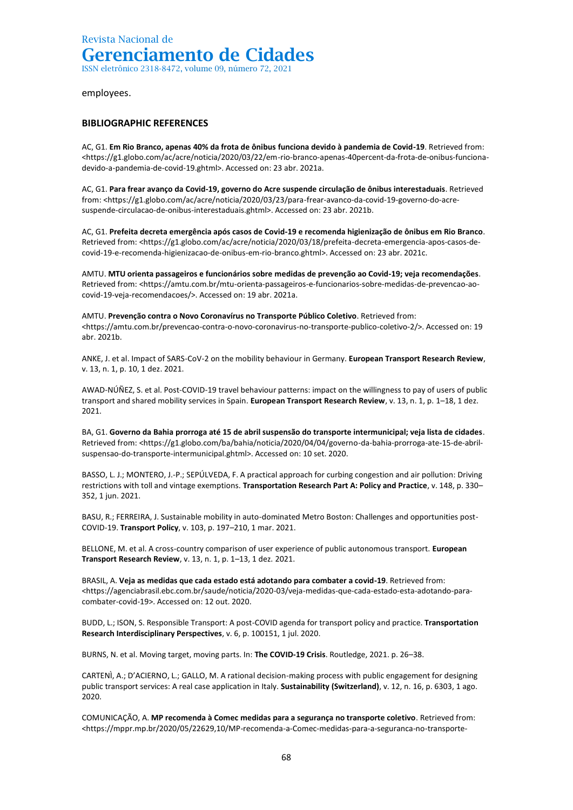ISSN eletrônico 2318-8472, volume 09, número 72, 2021

#### employees.

### **BIBLIOGRAPHIC REFERENCES**

AC, G1. **Em Rio Branco, apenas 40% da frota de ônibus funciona devido à pandemia de Covid-19**. Retrieved from: <https://g1.globo.com/ac/acre/noticia/2020/03/22/em-rio-branco-apenas-40percent-da-frota-de-onibus-funcionadevido-a-pandemia-de-covid-19.ghtml>. Accessed on: 23 abr. 2021a.

AC, G1. **Para frear avanço da Covid-19, governo do Acre suspende circulação de ônibus interestaduais**. Retrieved from: <https://g1.globo.com/ac/acre/noticia/2020/03/23/para-frear-avanco-da-covid-19-governo-do-acresuspende-circulacao-de-onibus-interestaduais.ghtml>. Accessed on: 23 abr. 2021b.

AC, G1. **Prefeita decreta emergência após casos de Covid-19 e recomenda higienização de ônibus em Rio Branco**. Retrieved from: <https://g1.globo.com/ac/acre/noticia/2020/03/18/prefeita-decreta-emergencia-apos-casos-decovid-19-e-recomenda-higienizacao-de-onibus-em-rio-branco.ghtml>. Accessed on: 23 abr. 2021c.

AMTU. **MTU orienta passageiros e funcionários sobre medidas de prevenção ao Covid-19; veja recomendações**. Retrieved from: <https://amtu.com.br/mtu-orienta-passageiros-e-funcionarios-sobre-medidas-de-prevencao-aocovid-19-veja-recomendacoes/>. Accessed on: 19 abr. 2021a.

AMTU. **Prevenção contra o Novo Coronavírus no Transporte Público Coletivo**. Retrieved from: <https://amtu.com.br/prevencao-contra-o-novo-coronavirus-no-transporte-publico-coletivo-2/>. Accessed on: 19 abr. 2021b.

ANKE, J. et al. Impact of SARS-CoV-2 on the mobility behaviour in Germany. **European Transport Research Review**, v. 13, n. 1, p. 10, 1 dez. 2021.

AWAD-NÚÑEZ, S. et al. Post-COVID-19 travel behaviour patterns: impact on the willingness to pay of users of public transport and shared mobility services in Spain. **European Transport Research Review**, v. 13, n. 1, p. 1–18, 1 dez. 2021.

BA, G1. **Governo da Bahia prorroga até 15 de abril suspensão do transporte intermunicipal; veja lista de cidades**. Retrieved from: <https://g1.globo.com/ba/bahia/noticia/2020/04/04/governo-da-bahia-prorroga-ate-15-de-abrilsuspensao-do-transporte-intermunicipal.ghtml>. Accessed on: 10 set. 2020.

BASSO, L. J.; MONTERO, J.-P.; SEPÚLVEDA, F. A practical approach for curbing congestion and air pollution: Driving restrictions with toll and vintage exemptions. **Transportation Research Part A: Policy and Practice**, v. 148, p. 330– 352, 1 jun. 2021.

BASU, R.; FERREIRA, J. Sustainable mobility in auto-dominated Metro Boston: Challenges and opportunities post-COVID-19. **Transport Policy**, v. 103, p. 197–210, 1 mar. 2021.

BELLONE, M. et al. A cross-country comparison of user experience of public autonomous transport. **European Transport Research Review**, v. 13, n. 1, p. 1–13, 1 dez. 2021.

BRASIL, A. **Veja as medidas que cada estado está adotando para combater a covid-19**. Retrieved from: <https://agenciabrasil.ebc.com.br/saude/noticia/2020-03/veja-medidas-que-cada-estado-esta-adotando-paracombater-covid-19>. Accessed on: 12 out. 2020.

BUDD, L.; ISON, S. Responsible Transport: A post-COVID agenda for transport policy and practice. **Transportation Research Interdisciplinary Perspectives**, v. 6, p. 100151, 1 jul. 2020.

BURNS, N. et al. Moving target, moving parts. In: **The COVID-19 Crisis**. Routledge, 2021. p. 26–38.

CARTENÌ, A.; D'ACIERNO, L.; GALLO, M. A rational decision-making process with public engagement for designing public transport services: A real case application in Italy. **Sustainability (Switzerland)**, v. 12, n. 16, p. 6303, 1 ago. 2020.

COMUNICAÇÃO, A. **MP recomenda à Comec medidas para a segurança no transporte coletivo**. Retrieved from: <https://mppr.mp.br/2020/05/22629,10/MP-recomenda-a-Comec-medidas-para-a-seguranca-no-transporte-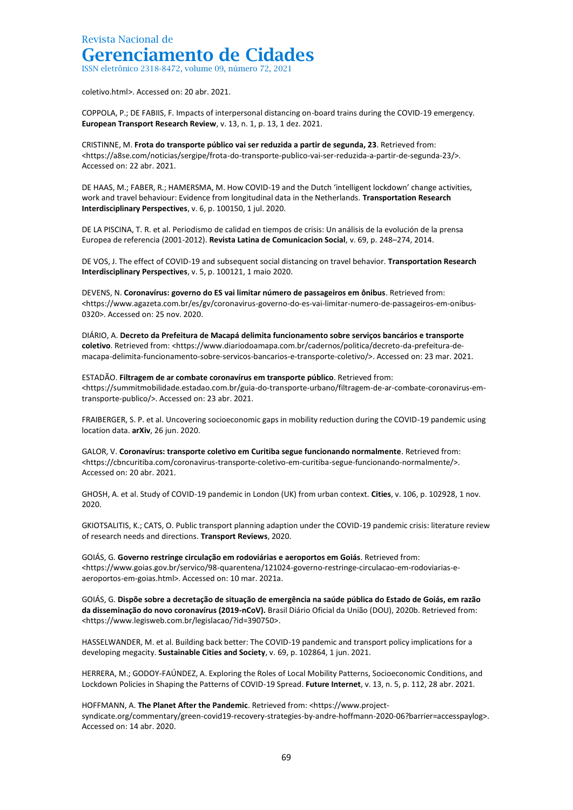ISSN eletrônico 2318-8472, volume 09, número 72, 2021

coletivo.html>. Accessed on: 20 abr. 2021.

COPPOLA, P.; DE FABIIS, F. Impacts of interpersonal distancing on-board trains during the COVID-19 emergency. **European Transport Research Review**, v. 13, n. 1, p. 13, 1 dez. 2021.

CRISTINNE, M. **Frota do transporte público vai ser reduzida a partir de segunda, 23**. Retrieved from: <https://a8se.com/noticias/sergipe/frota-do-transporte-publico-vai-ser-reduzida-a-partir-de-segunda-23/>. Accessed on: 22 abr. 2021.

DE HAAS, M.; FABER, R.; HAMERSMA, M. How COVID-19 and the Dutch 'intelligent lockdown' change activities, work and travel behaviour: Evidence from longitudinal data in the Netherlands. **Transportation Research Interdisciplinary Perspectives**, v. 6, p. 100150, 1 jul. 2020.

DE LA PISCINA, T. R. et al. Periodismo de calidad en tiempos de crisis: Un análisis de la evolución de la prensa Europea de referencia (2001-2012). **Revista Latina de Comunicacion Social**, v. 69, p. 248–274, 2014.

DE VOS, J. The effect of COVID-19 and subsequent social distancing on travel behavior. **Transportation Research Interdisciplinary Perspectives**, v. 5, p. 100121, 1 maio 2020.

DEVENS, N. **Coronavírus: governo do ES vai limitar número de passageiros em ônibus**. Retrieved from: <https://www.agazeta.com.br/es/gv/coronavirus-governo-do-es-vai-limitar-numero-de-passageiros-em-onibus-0320>. Accessed on: 25 nov. 2020.

DIÁRIO, A. **Decreto da Prefeitura de Macapá delimita funcionamento sobre serviços bancários e transporte coletivo**. Retrieved from: <https://www.diariodoamapa.com.br/cadernos/politica/decreto-da-prefeitura-demacapa-delimita-funcionamento-sobre-servicos-bancarios-e-transporte-coletivo/>. Accessed on: 23 mar. 2021.

ESTADÃO. **Filtragem de ar combate coronavírus em transporte público**. Retrieved from: <https://summitmobilidade.estadao.com.br/guia-do-transporte-urbano/filtragem-de-ar-combate-coronavirus-emtransporte-publico/>. Accessed on: 23 abr. 2021.

FRAIBERGER, S. P. et al. Uncovering socioeconomic gaps in mobility reduction during the COVID-19 pandemic using location data. **arXiv**, 26 jun. 2020.

GALOR, V. **Coronavírus: transporte coletivo em Curitiba segue funcionando normalmente**. Retrieved from: <https://cbncuritiba.com/coronavirus-transporte-coletivo-em-curitiba-segue-funcionando-normalmente/>. Accessed on: 20 abr. 2021.

GHOSH, A. et al. Study of COVID-19 pandemic in London (UK) from urban context. **Cities**, v. 106, p. 102928, 1 nov. 2020.

GKIOTSALITIS, K.; CATS, O. Public transport planning adaption under the COVID-19 pandemic crisis: literature review of research needs and directions. **Transport Reviews**, 2020.

GOIÁS, G. **Governo restringe circulação em rodoviárias e aeroportos em Goiás**. Retrieved from: <https://www.goias.gov.br/servico/98-quarentena/121024-governo-restringe-circulacao-em-rodoviarias-eaeroportos-em-goias.html>. Accessed on: 10 mar. 2021a.

GOIÁS, G. **Dispõe sobre a decretação de situação de emergência na saúde pública do Estado de Goiás, em razão da disseminação do novo coronavírus (2019-nCoV).** Brasil Diário Oficial da União (DOU), 2020b. Retrieved from: <https://www.legisweb.com.br/legislacao/?id=390750>.

HASSELWANDER, M. et al. Building back better: The COVID-19 pandemic and transport policy implications for a developing megacity. **Sustainable Cities and Society**, v. 69, p. 102864, 1 jun. 2021.

HERRERA, M.; GODOY-FAÚNDEZ, A. Exploring the Roles of Local Mobility Patterns, Socioeconomic Conditions, and Lockdown Policies in Shaping the Patterns of COVID-19 Spread. **Future Internet**, v. 13, n. 5, p. 112, 28 abr. 2021.

HOFFMANN, A. **The Planet After the Pandemic**. Retrieved from: <https://www.projectsyndicate.org/commentary/green-covid19-recovery-strategies-by-andre-hoffmann-2020-06?barrier=accesspaylog>. Accessed on: 14 abr. 2020.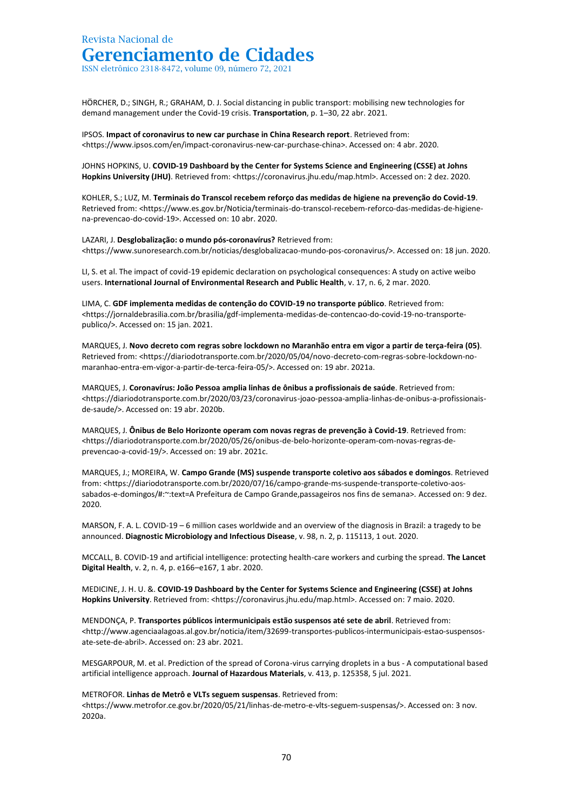ISSN eletrônico 2318-8472, volume 09, número 72, 2021

HÖRCHER, D.; SINGH, R.; GRAHAM, D. J. Social distancing in public transport: mobilising new technologies for demand management under the Covid-19 crisis. **Transportation**, p. 1–30, 22 abr. 2021.

IPSOS. **Impact of coronavirus to new car purchase in China Research report**. Retrieved from: <https://www.ipsos.com/en/impact-coronavirus-new-car-purchase-china>. Accessed on: 4 abr. 2020.

JOHNS HOPKINS, U. **COVID-19 Dashboard by the Center for Systems Science and Engineering (CSSE) at Johns Hopkins University (JHU)**. Retrieved from: <https://coronavirus.jhu.edu/map.html>. Accessed on: 2 dez. 2020.

KOHLER, S.; LUZ, M. **Terminais do Transcol recebem reforço das medidas de higiene na prevenção do Covid-19**. Retrieved from: <https://www.es.gov.br/Noticia/terminais-do-transcol-recebem-reforco-das-medidas-de-higienena-prevencao-do-covid-19>. Accessed on: 10 abr. 2020.

LAZARI, J. **Desglobalização: o mundo pós-coronavírus?** Retrieved from: <https://www.sunoresearch.com.br/noticias/desglobalizacao-mundo-pos-coronavirus/>. Accessed on: 18 jun. 2020.

LI, S. et al. The impact of covid-19 epidemic declaration on psychological consequences: A study on active weibo users. **International Journal of Environmental Research and Public Health**, v. 17, n. 6, 2 mar. 2020.

LIMA, C. **GDF implementa medidas de contenção do COVID-19 no transporte público**. Retrieved from: <https://jornaldebrasilia.com.br/brasilia/gdf-implementa-medidas-de-contencao-do-covid-19-no-transportepublico/>. Accessed on: 15 jan. 2021.

MARQUES, J. **Novo decreto com regras sobre lockdown no Maranhão entra em vigor a partir de terça-feira (05)**. Retrieved from: <https://diariodotransporte.com.br/2020/05/04/novo-decreto-com-regras-sobre-lockdown-nomaranhao-entra-em-vigor-a-partir-de-terca-feira-05/>. Accessed on: 19 abr. 2021a.

MARQUES, J. **Coronavírus: João Pessoa amplia linhas de ônibus a profissionais de saúde**. Retrieved from: <https://diariodotransporte.com.br/2020/03/23/coronavirus-joao-pessoa-amplia-linhas-de-onibus-a-profissionaisde-saude/>. Accessed on: 19 abr. 2020b.

MARQUES, J. **Ônibus de Belo Horizonte operam com novas regras de prevenção à Covid-19**. Retrieved from: <https://diariodotransporte.com.br/2020/05/26/onibus-de-belo-horizonte-operam-com-novas-regras-deprevencao-a-covid-19/>. Accessed on: 19 abr. 2021c.

MARQUES, J.; MOREIRA, W. **Campo Grande (MS) suspende transporte coletivo aos sábados e domingos**. Retrieved from: <https://diariodotransporte.com.br/2020/07/16/campo-grande-ms-suspende-transporte-coletivo-aossabados-e-domingos/#:~:text=A Prefeitura de Campo Grande,passageiros nos fins de semana>. Accessed on: 9 dez. 2020.

MARSON, F. A. L. COVID-19 – 6 million cases worldwide and an overview of the diagnosis in Brazil: a tragedy to be announced. **Diagnostic Microbiology and Infectious Disease**, v. 98, n. 2, p. 115113, 1 out. 2020.

MCCALL, B. COVID-19 and artificial intelligence: protecting health-care workers and curbing the spread. **The Lancet Digital Health**, v. 2, n. 4, p. e166–e167, 1 abr. 2020.

MEDICINE, J. H. U. &. **COVID-19 Dashboard by the Center for Systems Science and Engineering (CSSE) at Johns Hopkins University**. Retrieved from: <https://coronavirus.jhu.edu/map.html>. Accessed on: 7 maio. 2020.

MENDONÇA, P. **Transportes públicos intermunicipais estão suspensos até sete de abril**. Retrieved from: <http://www.agenciaalagoas.al.gov.br/noticia/item/32699-transportes-publicos-intermunicipais-estao-suspensosate-sete-de-abril>. Accessed on: 23 abr. 2021.

MESGARPOUR, M. et al. Prediction of the spread of Corona-virus carrying droplets in a bus - A computational based artificial intelligence approach. **Journal of Hazardous Materials**, v. 413, p. 125358, 5 jul. 2021.

METROFOR. **Linhas de Metrô e VLTs seguem suspensas**. Retrieved from:

<https://www.metrofor.ce.gov.br/2020/05/21/linhas-de-metro-e-vlts-seguem-suspensas/>. Accessed on: 3 nov. 2020a.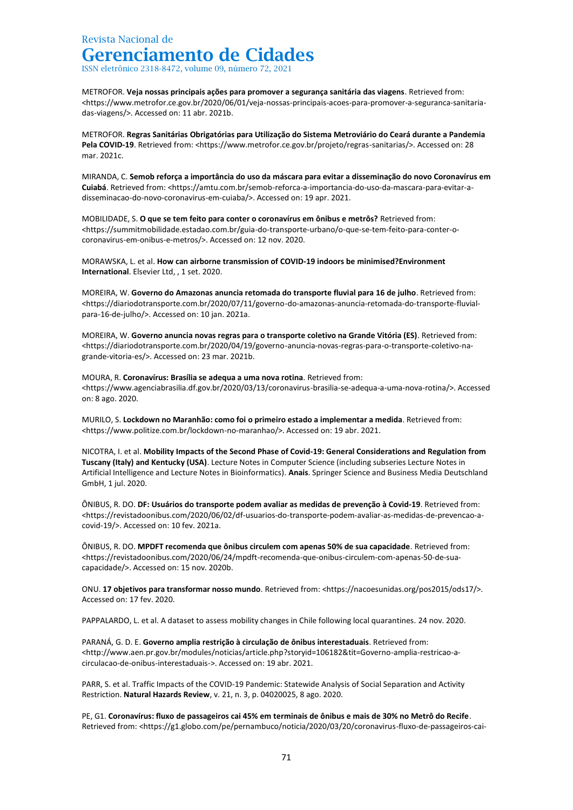ISSN eletrônico 2318-8472, volume 09, número 72, 2021

METROFOR. **Veja nossas principais ações para promover a segurança sanitária das viagens**. Retrieved from: <https://www.metrofor.ce.gov.br/2020/06/01/veja-nossas-principais-acoes-para-promover-a-seguranca-sanitariadas-viagens/>. Accessed on: 11 abr. 2021b.

METROFOR. **Regras Sanitárias Obrigatórias para Utilização do Sistema Metroviário do Ceará durante a Pandemia Pela COVID-19**. Retrieved from: <https://www.metrofor.ce.gov.br/projeto/regras-sanitarias/>. Accessed on: 28 mar. 2021c.

MIRANDA, C. **Semob reforça a importância do uso da máscara para evitar a disseminação do novo Coronavírus em Cuiabá**. Retrieved from: <https://amtu.com.br/semob-reforca-a-importancia-do-uso-da-mascara-para-evitar-adisseminacao-do-novo-coronavirus-em-cuiaba/>. Accessed on: 19 apr. 2021.

MOBILIDADE, S. **O que se tem feito para conter o coronavírus em ônibus e metrôs?** Retrieved from: <https://summitmobilidade.estadao.com.br/guia-do-transporte-urbano/o-que-se-tem-feito-para-conter-ocoronavirus-em-onibus-e-metros/>. Accessed on: 12 nov. 2020.

MORAWSKA, L. et al. **How can airborne transmission of COVID-19 indoors be minimised?Environment International**. Elsevier Ltd, , 1 set. 2020.

MOREIRA, W. **Governo do Amazonas anuncia retomada do transporte fluvial para 16 de julho**. Retrieved from: <https://diariodotransporte.com.br/2020/07/11/governo-do-amazonas-anuncia-retomada-do-transporte-fluvialpara-16-de-julho/>. Accessed on: 10 jan. 2021a.

MOREIRA, W. **Governo anuncia novas regras para o transporte coletivo na Grande Vitória (ES)**. Retrieved from: <https://diariodotransporte.com.br/2020/04/19/governo-anuncia-novas-regras-para-o-transporte-coletivo-nagrande-vitoria-es/>. Accessed on: 23 mar. 2021b.

MOURA, R. **Coronavírus: Brasília se adequa a uma nova rotina**. Retrieved from: <https://www.agenciabrasilia.df.gov.br/2020/03/13/coronavirus-brasilia-se-adequa-a-uma-nova-rotina/>. Accessed on: 8 ago. 2020.

MURILO, S. **Lockdown no Maranhão: como foi o primeiro estado a implementar a medida**. Retrieved from: <https://www.politize.com.br/lockdown-no-maranhao/>. Accessed on: 19 abr. 2021.

NICOTRA, I. et al. **Mobility Impacts of the Second Phase of Covid-19: General Considerations and Regulation from Tuscany (Italy) and Kentucky (USA)**. Lecture Notes in Computer Science (including subseries Lecture Notes in Artificial Intelligence and Lecture Notes in Bioinformatics). **Anais**. Springer Science and Business Media Deutschland GmbH, 1 jul. 2020.

ÔNIBUS, R. DO. **DF: Usuários do transporte podem avaliar as medidas de prevenção à Covid-19**. Retrieved from: <https://revistadoonibus.com/2020/06/02/df-usuarios-do-transporte-podem-avaliar-as-medidas-de-prevencao-acovid-19/>. Accessed on: 10 fev. 2021a.

ÔNIBUS, R. DO. **MPDFT recomenda que ônibus circulem com apenas 50% de sua capacidade**. Retrieved from: <https://revistadoonibus.com/2020/06/24/mpdft-recomenda-que-onibus-circulem-com-apenas-50-de-suacapacidade/>. Accessed on: 15 nov. 2020b.

ONU. **17 objetivos para transformar nosso mundo**. Retrieved from: <https://nacoesunidas.org/pos2015/ods17/>. Accessed on: 17 fev. 2020.

PAPPALARDO, L. et al. A dataset to assess mobility changes in Chile following local quarantines. 24 nov. 2020.

PARANÁ, G. D. E. **Governo amplia restrição à circulação de ônibus interestaduais**. Retrieved from: <http://www.aen.pr.gov.br/modules/noticias/article.php?storyid=106182&tit=Governo-amplia-restricao-acirculacao-de-onibus-interestaduais->. Accessed on: 19 abr. 2021.

PARR, S. et al. Traffic Impacts of the COVID-19 Pandemic: Statewide Analysis of Social Separation and Activity Restriction. **Natural Hazards Review**, v. 21, n. 3, p. 04020025, 8 ago. 2020.

PE, G1. **Coronavírus: fluxo de passageiros cai 45% em terminais de ônibus e mais de 30% no Metrô do Recife**. Retrieved from: <https://g1.globo.com/pe/pernambuco/noticia/2020/03/20/coronavirus-fluxo-de-passageiros-cai-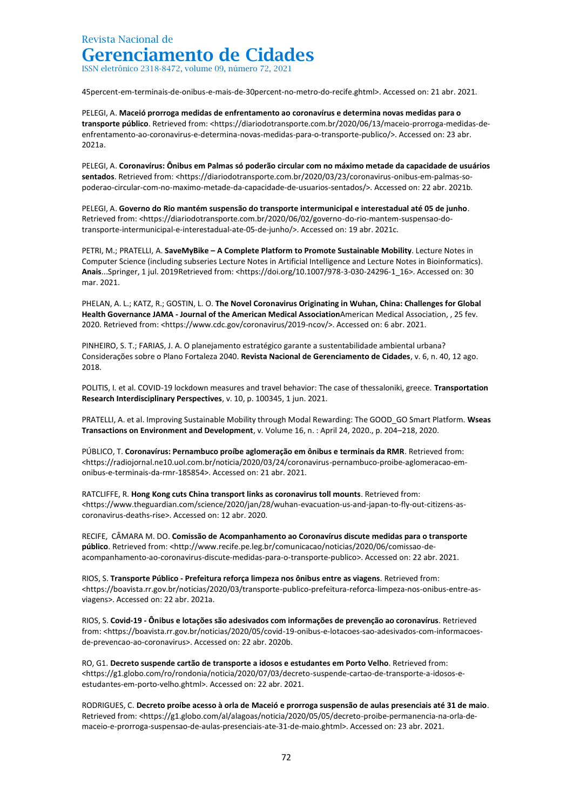ISSN eletrônico 2318-8472, volume 09, número 72, 2021

45percent-em-terminais-de-onibus-e-mais-de-30percent-no-metro-do-recife.ghtml>. Accessed on: 21 abr. 2021.

PELEGI, A. **Maceió prorroga medidas de enfrentamento ao coronavírus e determina novas medidas para o**  transporte público. Retrieved from: <https://diariodotransporte.com.br/2020/06/13/maceio-prorroga-medidas-deenfrentamento-ao-coronavirus-e-determina-novas-medidas-para-o-transporte-publico/>. Accessed on: 23 abr. 2021a.

PELEGI, A. **Coronavírus: Ônibus em Palmas só poderão circular com no máximo metade da capacidade de usuários sentados**. Retrieved from: <https://diariodotransporte.com.br/2020/03/23/coronavirus-onibus-em-palmas-sopoderao-circular-com-no-maximo-metade-da-capacidade-de-usuarios-sentados/>. Accessed on: 22 abr. 2021b.

PELEGI, A. **Governo do Rio mantém suspensão do transporte intermunicipal e interestadual até 05 de junho**. Retrieved from: <https://diariodotransporte.com.br/2020/06/02/governo-do-rio-mantem-suspensao-dotransporte-intermunicipal-e-interestadual-ate-05-de-junho/>. Accessed on: 19 abr. 2021c.

PETRI, M.; PRATELLI, A. **SaveMyBike – A Complete Platform to Promote Sustainable Mobility**. Lecture Notes in Computer Science (including subseries Lecture Notes in Artificial Intelligence and Lecture Notes in Bioinformatics). **Anais**...Springer, 1 jul. 2019Retrieved from: <https://doi.org/10.1007/978-3-030-24296-1\_16>. Accessed on: 30 mar. 2021.

PHELAN, A. L.; KATZ, R.; GOSTIN, L. O. **The Novel Coronavirus Originating in Wuhan, China: Challenges for Global Health Governance JAMA - Journal of the American Medical Association**American Medical Association, , 25 fev. 2020. Retrieved from: <https://www.cdc.gov/coronavirus/2019-ncov/>. Accessed on: 6 abr. 2021.

PINHEIRO, S. T.; FARIAS, J. A. O planejamento estratégico garante a sustentabilidade ambiental urbana? Considerações sobre o Plano Fortaleza 2040. **Revista Nacional de Gerenciamento de Cidades**, v. 6, n. 40, 12 ago. 2018.

POLITIS, I. et al. COVID-19 lockdown measures and travel behavior: The case of thessaloniki, greece. **Transportation Research Interdisciplinary Perspectives**, v. 10, p. 100345, 1 jun. 2021.

PRATELLI, A. et al. Improving Sustainable Mobility through Modal Rewarding: The GOOD\_GO Smart Platform. **Wseas Transactions on Environment and Development**, v. Volume 16, n. : April 24, 2020., p. 204–218, 2020.

PÚBLICO, T. **Coronavírus: Pernambuco proíbe aglomeração em ônibus e terminais da RMR**. Retrieved from: <https://radiojornal.ne10.uol.com.br/noticia/2020/03/24/coronavirus-pernambuco-proibe-aglomeracao-emonibus-e-terminais-da-rmr-185854>. Accessed on: 21 abr. 2021.

RATCLIFFE, R. **Hong Kong cuts China transport links as coronavirus toll mounts**. Retrieved from: <https://www.theguardian.com/science/2020/jan/28/wuhan-evacuation-us-and-japan-to-fly-out-citizens-ascoronavirus-deaths-rise>. Accessed on: 12 abr. 2020.

RECIFE, CÂMARA M. DO. **Comissão de Acompanhamento ao Coronavírus discute medidas para o transporte público**. Retrieved from: <http://www.recife.pe.leg.br/comunicacao/noticias/2020/06/comissao-deacompanhamento-ao-coronavirus-discute-medidas-para-o-transporte-publico>. Accessed on: 22 abr. 2021.

RIOS, S. **Transporte Público - Prefeitura reforça limpeza nos ônibus entre as viagens**. Retrieved from: <https://boavista.rr.gov.br/noticias/2020/03/transporte-publico-prefeitura-reforca-limpeza-nos-onibus-entre-asviagens>. Accessed on: 22 abr. 2021a.

RIOS, S. **Covid-19 - Ônibus e lotações são adesivados com informações de prevenção ao coronavírus**. Retrieved from: <https://boavista.rr.gov.br/noticias/2020/05/covid-19-onibus-e-lotacoes-sao-adesivados-com-informacoesde-prevencao-ao-coronavirus>. Accessed on: 22 abr. 2020b.

RO, G1. **Decreto suspende cartão de transporte a idosos e estudantes em Porto Velho**. Retrieved from: <https://g1.globo.com/ro/rondonia/noticia/2020/07/03/decreto-suspende-cartao-de-transporte-a-idosos-eestudantes-em-porto-velho.ghtml>. Accessed on: 22 abr. 2021.

RODRIGUES, C. **Decreto proíbe acesso à orla de Maceió e prorroga suspensão de aulas presenciais até 31 de maio**. Retrieved from: <https://g1.globo.com/al/alagoas/noticia/2020/05/05/decreto-proibe-permanencia-na-orla-demaceio-e-prorroga-suspensao-de-aulas-presenciais-ate-31-de-maio.ghtml>. Accessed on: 23 abr. 2021.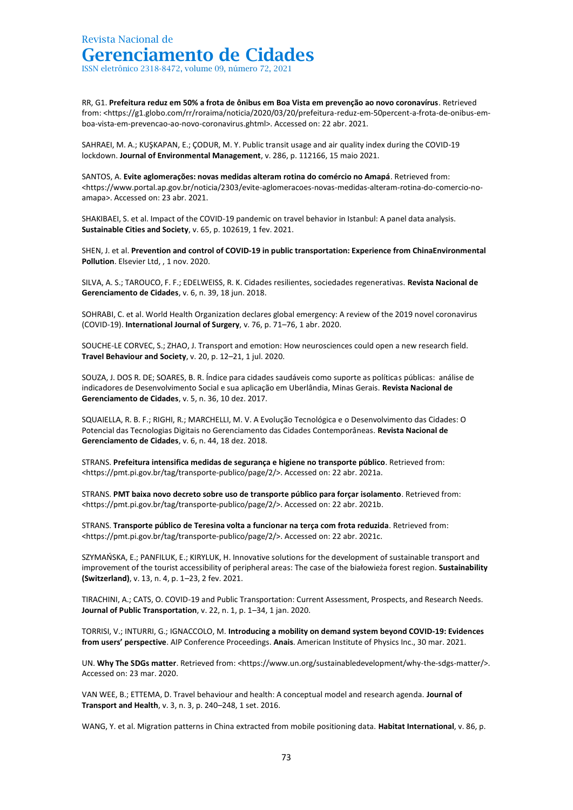ISSN eletrônico 2318-8472, volume 09, número 72, 2021

RR, G1. **Prefeitura reduz em 50% a frota de ônibus em Boa Vista em prevenção ao novo coronavírus**. Retrieved from: <https://g1.globo.com/rr/roraima/noticia/2020/03/20/prefeitura-reduz-em-50percent-a-frota-de-onibus-emboa-vista-em-prevencao-ao-novo-coronavirus.ghtml>. Accessed on: 22 abr. 2021.

SAHRAEI, M. A.; KUŞKAPAN, E.; ÇODUR, M. Y. Public transit usage and air quality index during the COVID-19 lockdown. **Journal of Environmental Management**, v. 286, p. 112166, 15 maio 2021.

SANTOS, A. **Evite aglomerações: novas medidas alteram rotina do comércio no Amapá**. Retrieved from: <https://www.portal.ap.gov.br/noticia/2303/evite-aglomeracoes-novas-medidas-alteram-rotina-do-comercio-noamapa>. Accessed on: 23 abr. 2021.

SHAKIBAEI, S. et al. Impact of the COVID-19 pandemic on travel behavior in Istanbul: A panel data analysis. **Sustainable Cities and Society**, v. 65, p. 102619, 1 fev. 2021.

SHEN, J. et al. **Prevention and control of COVID-19 in public transportation: Experience from ChinaEnvironmental Pollution**. Elsevier Ltd, , 1 nov. 2020.

SILVA, A. S.; TAROUCO, F. F.; EDELWEISS, R. K. Cidades resilientes, sociedades regenerativas. **Revista Nacional de Gerenciamento de Cidades**, v. 6, n. 39, 18 jun. 2018.

SOHRABI, C. et al. World Health Organization declares global emergency: A review of the 2019 novel coronavirus (COVID-19). **International Journal of Surgery**, v. 76, p. 71–76, 1 abr. 2020.

SOUCHE-LE CORVEC, S.; ZHAO, J. Transport and emotion: How neurosciences could open a new research field. **Travel Behaviour and Society**, v. 20, p. 12–21, 1 jul. 2020.

SOUZA, J. DOS R. DE; SOARES, B. R. Índice para cidades saudáveis como suporte as políticas públicas: análise de indicadores de Desenvolvimento Social e sua aplicação em Uberlândia, Minas Gerais. **Revista Nacional de Gerenciamento de Cidades**, v. 5, n. 36, 10 dez. 2017.

SQUAIELLA, R. B. F.; RIGHI, R.; MARCHELLI, M. V. A Evolução Tecnológica e o Desenvolvimento das Cidades: O Potencial das Tecnologias Digitais no Gerenciamento das Cidades Contemporâneas. **Revista Nacional de Gerenciamento de Cidades**, v. 6, n. 44, 18 dez. 2018.

STRANS. **Prefeitura intensifica medidas de segurança e higiene no transporte público**. Retrieved from: <https://pmt.pi.gov.br/tag/transporte-publico/page/2/>. Accessed on: 22 abr. 2021a.

STRANS. **PMT baixa novo decreto sobre uso de transporte público para forçar isolamento**. Retrieved from: <https://pmt.pi.gov.br/tag/transporte-publico/page/2/>. Accessed on: 22 abr. 2021b.

STRANS. **Transporte público de Teresina volta a funcionar na terça com frota reduzida**. Retrieved from: <https://pmt.pi.gov.br/tag/transporte-publico/page/2/>. Accessed on: 22 abr. 2021c.

SZYMAŃSKA, E.; PANFILUK, E.; KIRYLUK, H. Innovative solutions for the development of sustainable transport and improvement of the tourist accessibility of peripheral areas: The case of the białowieża forest region. **Sustainability (Switzerland)**, v. 13, n. 4, p. 1–23, 2 fev. 2021.

TIRACHINI, A.; CATS, O. COVID-19 and Public Transportation: Current Assessment, Prospects, and Research Needs. **Journal of Public Transportation**, v. 22, n. 1, p. 1–34, 1 jan. 2020.

TORRISI, V.; INTURRI, G.; IGNACCOLO, M. **Introducing a mobility on demand system beyond COVID-19: Evidences from users' perspective**. AIP Conference Proceedings. **Anais**. American Institute of Physics Inc., 30 mar. 2021.

UN. Why The SDGs matter. Retrieved from: <https://www.un.org/sustainabledevelopment/why-the-sdgs-matter/>. Accessed on: 23 mar. 2020.

VAN WEE, B.; ETTEMA, D. Travel behaviour and health: A conceptual model and research agenda. **Journal of Transport and Health**, v. 3, n. 3, p. 240–248, 1 set. 2016.

WANG, Y. et al. Migration patterns in China extracted from mobile positioning data. **Habitat International**, v. 86, p.